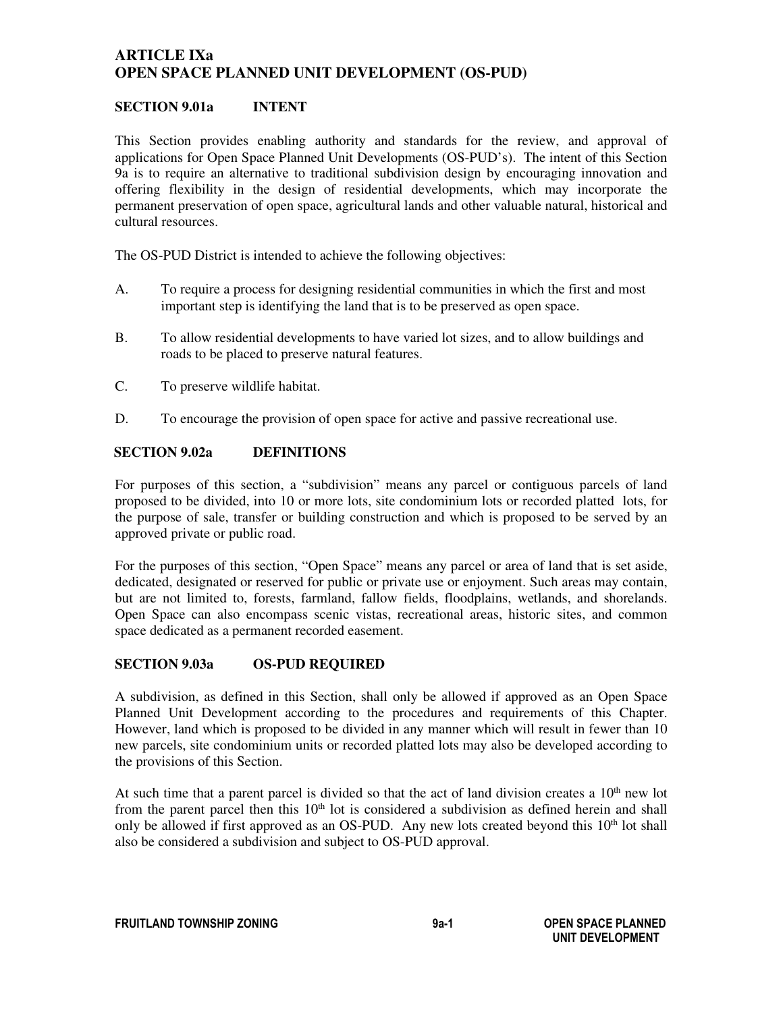# **ARTICLE IXa OPEN SPACE PLANNED UNIT DEVELOPMENT (OS-PUD)**

## **SECTION 9.01a INTENT**

This Section provides enabling authority and standards for the review, and approval of applications for Open Space Planned Unit Developments (OS-PUD's). The intent of this Section 9a is to require an alternative to traditional subdivision design by encouraging innovation and offering flexibility in the design of residential developments, which may incorporate the permanent preservation of open space, agricultural lands and other valuable natural, historical and cultural resources.

The OS-PUD District is intended to achieve the following objectives:

- A. To require a process for designing residential communities in which the first and most important step is identifying the land that is to be preserved as open space.
- B. To allow residential developments to have varied lot sizes, and to allow buildings and roads to be placed to preserve natural features.
- C. To preserve wildlife habitat.
- D. To encourage the provision of open space for active and passive recreational use.

## **SECTION 9.02a DEFINITIONS**

For purposes of this section, a "subdivision" means any parcel or contiguous parcels of land proposed to be divided, into 10 or more lots, site condominium lots or recorded platted lots, for the purpose of sale, transfer or building construction and which is proposed to be served by an approved private or public road.

For the purposes of this section, "Open Space" means any parcel or area of land that is set aside, dedicated, designated or reserved for public or private use or enjoyment. Such areas may contain, but are not limited to, forests, farmland, fallow fields, floodplains, wetlands, and shorelands. Open Space can also encompass scenic vistas, recreational areas, historic sites, and common space dedicated as a permanent recorded easement.

#### **SECTION 9.03a OS-PUD REQUIRED**

A subdivision, as defined in this Section, shall only be allowed if approved as an Open Space Planned Unit Development according to the procedures and requirements of this Chapter. However, land which is proposed to be divided in any manner which will result in fewer than 10 new parcels, site condominium units or recorded platted lots may also be developed according to the provisions of this Section.

At such time that a parent parcel is divided so that the act of land division creates a  $10<sup>th</sup>$  new lot from the parent parcel then this  $10<sup>th</sup>$  lot is considered a subdivision as defined herein and shall only be allowed if first approved as an OS-PUD. Any new lots created beyond this  $10<sup>th</sup>$  lot shall also be considered a subdivision and subject to OS-PUD approval.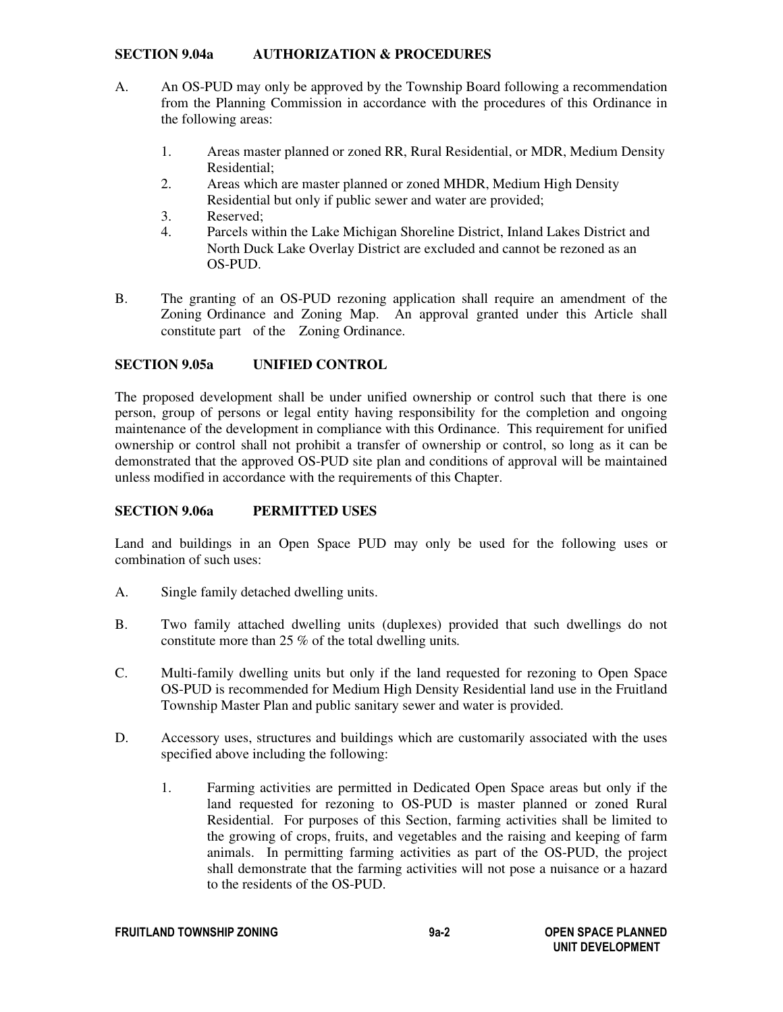#### **SECTION 9.04a AUTHORIZATION & PROCEDURES**

- A. An OS-PUD may only be approved by the Township Board following a recommendation from the Planning Commission in accordance with the procedures of this Ordinance in the following areas:
	- 1. Areas master planned or zoned RR, Rural Residential, or MDR, Medium Density Residential;<br>2. Areas which
	- Areas which are master planned or zoned MHDR, Medium High Density Residential but only if public sewer and water are provided;
	- 3. Reserved;
	- 4. Parcels within the Lake Michigan Shoreline District, Inland Lakes District and North Duck Lake Overlay District are excluded and cannot be rezoned as an OS-PUD.
- B. The granting of an OS-PUD rezoning application shall require an amendment of the Zoning Ordinance and Zoning Map. An approval granted under this Article shall constitute part of the Zoning Ordinance.

## **SECTION 9.05a UNIFIED CONTROL**

The proposed development shall be under unified ownership or control such that there is one person, group of persons or legal entity having responsibility for the completion and ongoing maintenance of the development in compliance with this Ordinance. This requirement for unified ownership or control shall not prohibit a transfer of ownership or control, so long as it can be demonstrated that the approved OS-PUD site plan and conditions of approval will be maintained unless modified in accordance with the requirements of this Chapter.

## **SECTION 9.06a PERMITTED USES**

Land and buildings in an Open Space PUD may only be used for the following uses or combination of such uses:

- A. Single family detached dwelling units.
- B. Two family attached dwelling units (duplexes) provided that such dwellings do not constitute more than 25 % of the total dwelling units*.*
- C. Multi-family dwelling units but only if the land requested for rezoning to Open Space OS-PUD is recommended for Medium High Density Residential land use in the Fruitland Township Master Plan and public sanitary sewer and water is provided.
- D. Accessory uses, structures and buildings which are customarily associated with the uses specified above including the following:
	- 1. Farming activities are permitted in Dedicated Open Space areas but only if the land requested for rezoning to OS-PUD is master planned or zoned Rural Residential. For purposes of this Section, farming activities shall be limited to the growing of crops, fruits, and vegetables and the raising and keeping of farm animals. In permitting farming activities as part of the OS-PUD, the project shall demonstrate that the farming activities will not pose a nuisance or a hazard to the residents of the OS-PUD.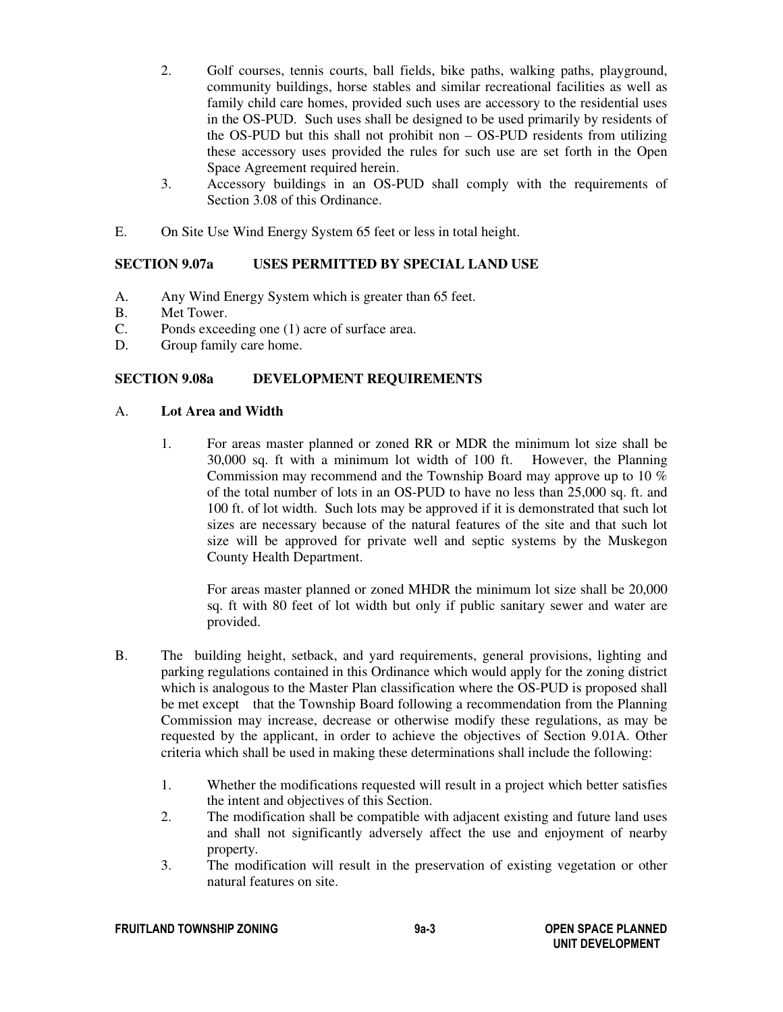- 2. Golf courses, tennis courts, ball fields, bike paths, walking paths, playground, community buildings, horse stables and similar recreational facilities as well as family child care homes, provided such uses are accessory to the residential uses in the OS-PUD. Such uses shall be designed to be used primarily by residents of the OS-PUD but this shall not prohibit non – OS-PUD residents from utilizing these accessory uses provided the rules for such use are set forth in the Open Space Agreement required herein.
- 3. Accessory buildings in an OS-PUD shall comply with the requirements of Section 3.08 of this Ordinance.
- E. On Site Use Wind Energy System 65 feet or less in total height.

## **SECTION 9.07a USES PERMITTED BY SPECIAL LAND USE**

- A. Any Wind Energy System which is greater than 65 feet.
- B. Met Tower.
- C. Ponds exceeding one (1) acre of surface area.
- D. Group family care home.

## **SECTION 9.08a DEVELOPMENT REQUIREMENTS**

#### A. **Lot Area and Width**

1. For areas master planned or zoned RR or MDR the minimum lot size shall be 30,000 sq. ft with a minimum lot width of 100 ft. However, the Planning Commission may recommend and the Township Board may approve up to 10 % of the total number of lots in an OS-PUD to have no less than 25,000 sq. ft. and 100 ft. of lot width. Such lots may be approved if it is demonstrated that such lot sizes are necessary because of the natural features of the site and that such lot size will be approved for private well and septic systems by the Muskegon County Health Department.

For areas master planned or zoned MHDR the minimum lot size shall be 20,000 sq. ft with 80 feet of lot width but only if public sanitary sewer and water are provided.

- B. The building height, setback, and yard requirements, general provisions, lighting and parking regulations contained in this Ordinance which would apply for the zoning district which is analogous to the Master Plan classification where the OS-PUD is proposed shall be met except that the Township Board following a recommendation from the Planning Commission may increase, decrease or otherwise modify these regulations, as may be requested by the applicant, in order to achieve the objectives of Section 9.01A. Other criteria which shall be used in making these determinations shall include the following:
	- 1. Whether the modifications requested will result in a project which better satisfies the intent and objectives of this Section.
	- 2. The modification shall be compatible with adjacent existing and future land uses and shall not significantly adversely affect the use and enjoyment of nearby property.
	- 3. The modification will result in the preservation of existing vegetation or other natural features on site.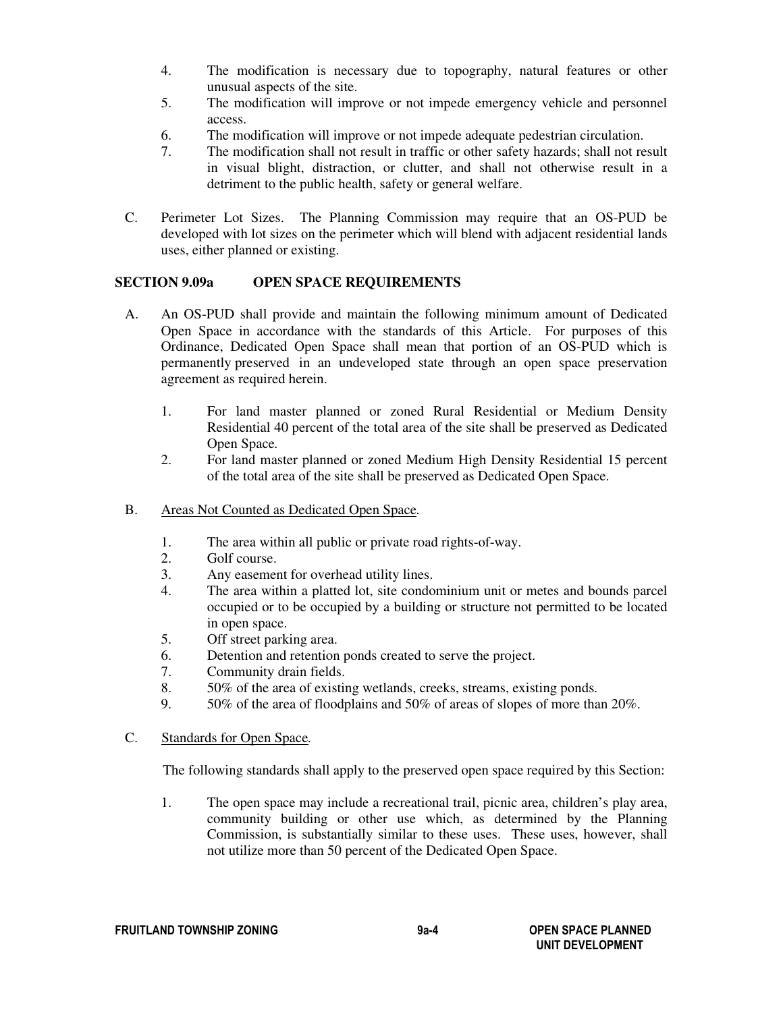- 4. The modification is necessary due to topography, natural features or other unusual aspects of the site.
- 5. The modification will improve or not impede emergency vehicle and personnel access.
- 6. The modification will improve or not impede adequate pedestrian circulation.
- 7. The modification shall not result in traffic or other safety hazards; shall not result in visual blight, distraction, or clutter, and shall not otherwise result in a detriment to the public health, safety or general welfare.
- C. Perimeter Lot Sizes.The Planning Commission may require that an OS-PUD be developed with lot sizes on the perimeter which will blend with adjacent residential lands uses, either planned or existing.

## **SECTION 9.09a OPEN SPACE REQUIREMENTS**

- A. An OS-PUD shall provide and maintain the following minimum amount of Dedicated Open Space in accordance with the standards of this Article. For purposes of this Ordinance, Dedicated Open Space shall mean that portion of an OS-PUD which is permanently preserved in an undeveloped state through an open space preservation agreement as required herein.
	- 1. For land master planned or zoned Rural Residential or Medium Density Residential 40 percent of the total area of the site shall be preserved as Dedicated Open Space*.*
	- 2. For land master planned or zoned Medium High Density Residential 15 percent of the total area of the site shall be preserved as Dedicated Open Space.
- B. Areas Not Counted as Dedicated Open Space*.*
	- 1. The area within all public or private road rights-of-way.
	- 2. Golf course.
	- 3. Any easement for overhead utility lines.
	- 4. The area within a platted lot, site condominium unit or metes and bounds parcel occupied or to be occupied by a building or structure not permitted to be located in open space.
	- 5. Off street parking area.
	- 6. Detention and retention ponds created to serve the project.
	- 7. Community drain fields.
	- 8. 50% of the area of existing wetlands, creeks, streams, existing ponds.
	- 9. 50% of the area of floodplains and 50% of areas of slopes of more than 20%.

### C. Standards for Open Space*.*

The following standards shall apply to the preserved open space required by this Section:

1. The open space may include a recreational trail, picnic area, children's play area, community building or other use which, as determined by the Planning Commission, is substantially similar to these uses. These uses, however, shall not utilize more than 50 percent of the Dedicated Open Space.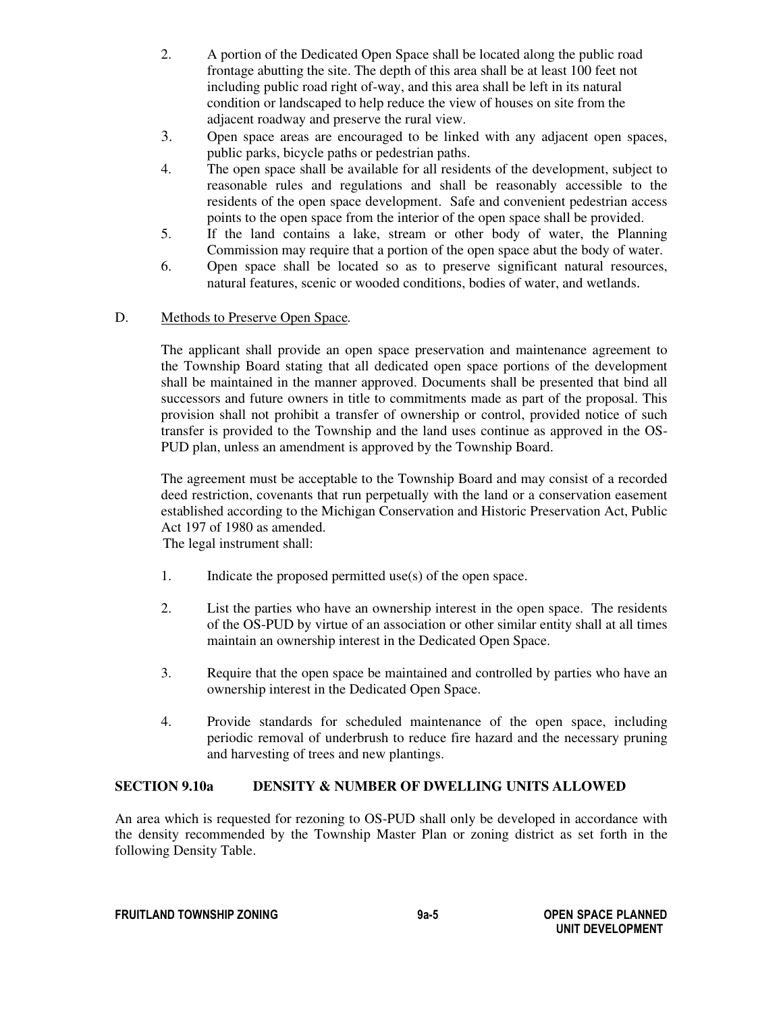- 2. A portion of the Dedicated Open Space shall be located along the public road frontage abutting the site. The depth of this area shall be at least 100 feet not including public road right of-way, and this area shall be left in its natural condition or landscaped to help reduce the view of houses on site from the adjacent roadway and preserve the rural view.
- 3. Open space areas are encouraged to be linked with any adjacent open spaces, public parks, bicycle paths or pedestrian paths.
- 4. The open space shall be available for all residents of the development, subject to reasonable rules and regulations and shall be reasonably accessible to the residents of the open space development. Safe and convenient pedestrian access points to the open space from the interior of the open space shall be provided.
- 5. If the land contains a lake, stream or other body of water, the Planning Commission may require that a portion of the open space abut the body of water.
- 6. Open space shall be located so as to preserve significant natural resources, natural features, scenic or wooded conditions, bodies of water, and wetlands.

## D. Methods to Preserve Open Space*.*

The applicant shall provide an open space preservation and maintenance agreement to the Township Board stating that all dedicated open space portions of the development shall be maintained in the manner approved. Documents shall be presented that bind all successors and future owners in title to commitments made as part of the proposal. This provision shall not prohibit a transfer of ownership or control, provided notice of such transfer is provided to the Township and the land uses continue as approved in the OS-PUD plan, unless an amendment is approved by the Township Board.

The agreement must be acceptable to the Township Board and may consist of a recorded deed restriction, covenants that run perpetually with the land or a conservation easement established according to the Michigan Conservation and Historic Preservation Act, Public Act 197 of 1980 as amended.

The legal instrument shall:

- 1. Indicate the proposed permitted use(s) of the open space.
- 2. List the parties who have an ownership interest in the open space. The residents of the OS-PUD by virtue of an association or other similar entity shall at all times maintain an ownership interest in the Dedicated Open Space.
- 3. Require that the open space be maintained and controlled by parties who have an ownership interest in the Dedicated Open Space.
- 4. Provide standards for scheduled maintenance of the open space, including periodic removal of underbrush to reduce fire hazard and the necessary pruning and harvesting of trees and new plantings.

#### **SECTION 9.10a DENSITY & NUMBER OF DWELLING UNITS ALLOWED**

An area which is requested for rezoning to OS-PUD shall only be developed in accordance with the density recommended by the Township Master Plan or zoning district as set forth in the following Density Table.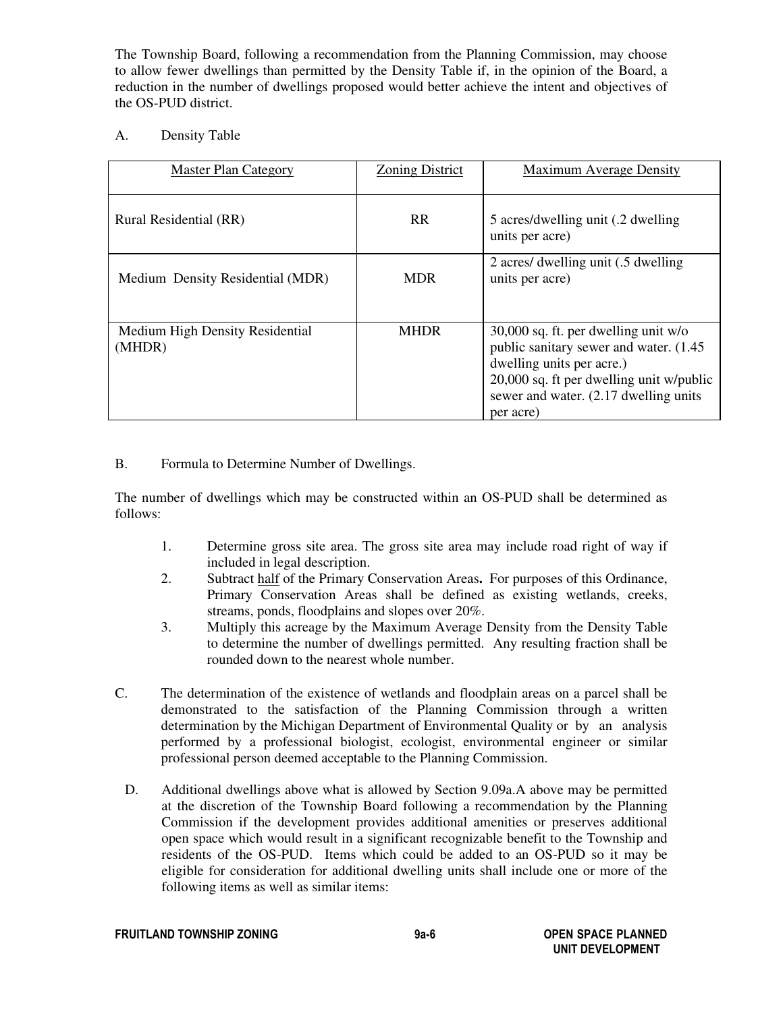The Township Board, following a recommendation from the Planning Commission, may choose to allow fewer dwellings than permitted by the Density Table if, in the opinion of the Board, a reduction in the number of dwellings proposed would better achieve the intent and objectives of the OS-PUD district.

## A. Density Table

| <b>Master Plan Category</b>               | <b>Zoning District</b> | <b>Maximum Average Density</b>                                                                                                                                                                                 |
|-------------------------------------------|------------------------|----------------------------------------------------------------------------------------------------------------------------------------------------------------------------------------------------------------|
| Rural Residential (RR)                    | <b>RR</b>              | 5 acres/dwelling unit (.2 dwelling<br>units per acre)                                                                                                                                                          |
| Medium Density Residential (MDR)          | <b>MDR</b>             | 2 acres/ dwelling unit (.5 dwelling)<br>units per acre)                                                                                                                                                        |
| Medium High Density Residential<br>(MHDR) | <b>MHDR</b>            | 30,000 sq. ft. per dwelling unit w/o<br>public sanitary sewer and water. (1.45)<br>dwelling units per acre.)<br>20,000 sq. ft per dwelling unit w/public<br>sewer and water. (2.17 dwelling units<br>per acre) |

## B. Formula to Determine Number of Dwellings.

The number of dwellings which may be constructed within an OS-PUD shall be determined as follows:

- 1. Determine gross site area. The gross site area may include road right of way if included in legal description.
- 2. Subtract half of the Primary Conservation Areas**.** For purposes of this Ordinance, Primary Conservation Areas shall be defined as existing wetlands, creeks, streams, ponds, floodplains and slopes over 20%.
- 3. Multiply this acreage by the Maximum Average Density from the Density Table to determine the number of dwellings permitted. Any resulting fraction shall be rounded down to the nearest whole number.
- C. The determination of the existence of wetlands and floodplain areas on a parcel shall be demonstrated to the satisfaction of the Planning Commission through a written determination by the Michigan Department of Environmental Quality or by an analysis performed by a professional biologist, ecologist, environmental engineer or similar professional person deemed acceptable to the Planning Commission.
	- D. Additional dwellings above what is allowed by Section 9.09a.A above may be permitted at the discretion of the Township Board following a recommendation by the Planning Commission if the development provides additional amenities or preserves additional open space which would result in a significant recognizable benefit to the Township and residents of the OS-PUD. Items which could be added to an OS-PUD so it may be eligible for consideration for additional dwelling units shall include one or more of the following items as well as similar items: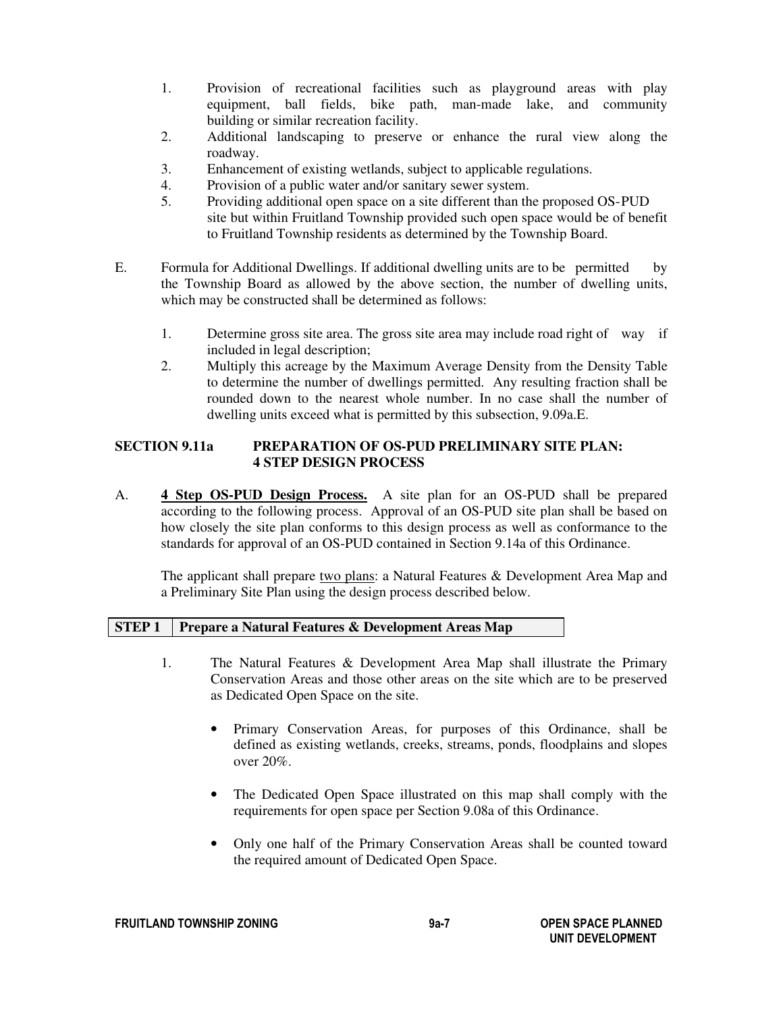- 1. Provision of recreational facilities such as playground areas with play equipment, ball fields, bike path, man-made lake, and community building or similar recreation facility.
- 2. Additional landscaping to preserve or enhance the rural view along the roadway.
- 3. Enhancement of existing wetlands, subject to applicable regulations.
- 4. Provision of a public water and/or sanitary sewer system.
- 5. Providing additional open space on a site different than the proposed OS- PUD site but within Fruitland Township provided such open space would be of benefit to Fruitland Township residents as determined by the Township Board.
- E. Formula for Additional Dwellings. If additional dwelling units are to be permitted by the Township Board as allowed by the above section, the number of dwelling units, which may be constructed shall be determined as follows:
	- 1. Determine gross site area. The gross site area may include road right of way if included in legal description;
	- 2. Multiply this acreage by the Maximum Average Density from the Density Table to determine the number of dwellings permitted. Any resulting fraction shall be rounded down to the nearest whole number. In no case shall the number of dwelling units exceed what is permitted by this subsection, 9.09a.E.

# **SECTION 9.11a PREPARATION OF OS-PUD PRELIMINARY SITE PLAN: 4 STEP DESIGN PROCESS**

A. **4 Step OS-PUD Design Process.** A site plan for an OS-PUD shall be prepared according to the following process. Approval of an OS-PUD site plan shall be based on how closely the site plan conforms to this design process as well as conformance to the standards for approval of an OS-PUD contained in Section 9.14a of this Ordinance.

The applicant shall prepare two plans: a Natural Features & Development Area Map and a Preliminary Site Plan using the design process described below.

#### **STEP 1 Prepare a Natural Features & Development Areas Map**

- 1. The Natural Features & Development Area Map shall illustrate the Primary Conservation Areas and those other areas on the site which are to be preserved as Dedicated Open Space on the site.
	- Primary Conservation Areas, for purposes of this Ordinance, shall be defined as existing wetlands, creeks, streams, ponds, floodplains and slopes over 20%.
	- The Dedicated Open Space illustrated on this map shall comply with the requirements for open space per Section 9.08a of this Ordinance.
	- Only one half of the Primary Conservation Areas shall be counted toward the required amount of Dedicated Open Space.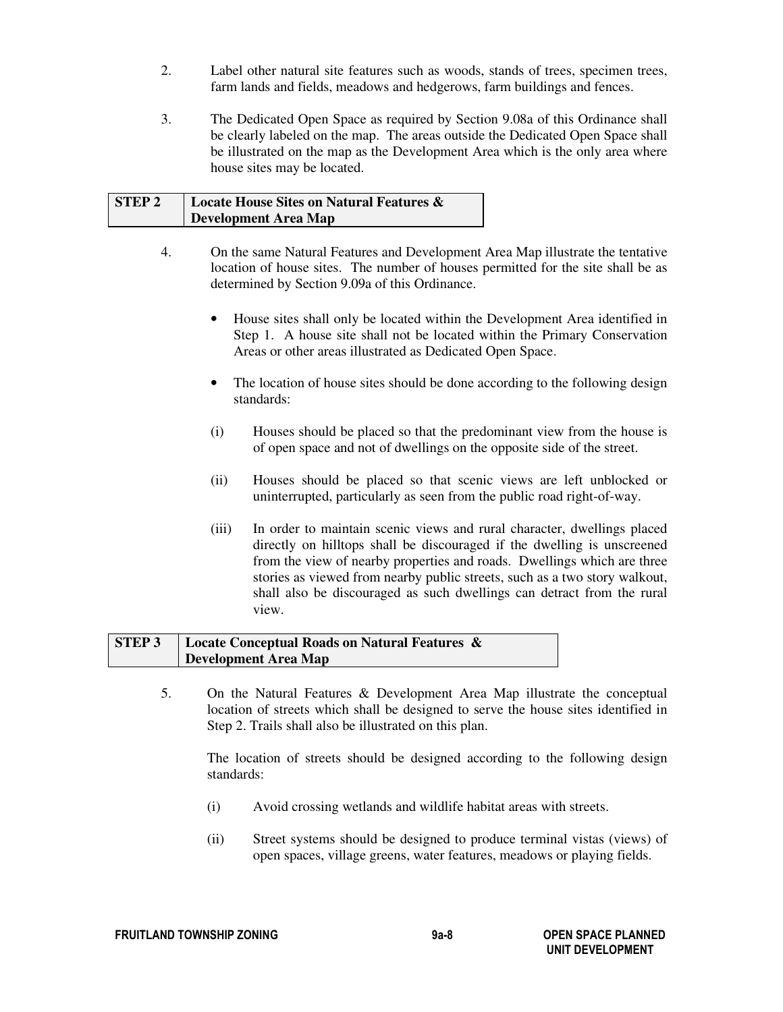- 2. Label other natural site features such as woods, stands of trees, specimen trees, farm lands and fields, meadows and hedgerows, farm buildings and fences.
- 3. The Dedicated Open Space as required by Section 9.08a of this Ordinance shall be clearly labeled on the map. The areas outside the Dedicated Open Space shall be illustrated on the map as the Development Area which is the only area where house sites may be located.

# **STEP 2 Locate House Sites on Natural Features & Development Area Map**

- 4. On the same Natural Features and Development Area Map illustrate the tentative location of house sites. The number of houses permitted for the site shall be as determined by Section 9.09a of this Ordinance.
	- House sites shall only be located within the Development Area identified in Step 1. A house site shall not be located within the Primary Conservation Areas or other areas illustrated as Dedicated Open Space.
	- The location of house sites should be done according to the following design standards:
	- (i) Houses should be placed so that the predominant view from the house is of open space and not of dwellings on the opposite side of the street.
	- (ii) Houses should be placed so that scenic views are left unblocked or uninterrupted, particularly as seen from the public road right-of-way.
	- (iii) In order to maintain scenic views and rural character, dwellings placed directly on hilltops shall be discouraged if the dwelling is unscreened from the view of nearby properties and roads. Dwellings which are three stories as viewed from nearby public streets, such as a two story walkout, shall also be discouraged as such dwellings can detract from the rural view.

# **STEP 3 Locate Conceptual Roads on Natural Features & Development Area Map**

5. On the Natural Features & Development Area Map illustrate the conceptual location of streets which shall be designed to serve the house sites identified in Step 2. Trails shall also be illustrated on this plan.

 The location of streets should be designed according to the following design standards:

- (i) Avoid crossing wetlands and wildlife habitat areas with streets.
- (ii) Street systems should be designed to produce terminal vistas (views) of open spaces, village greens, water features, meadows or playing fields.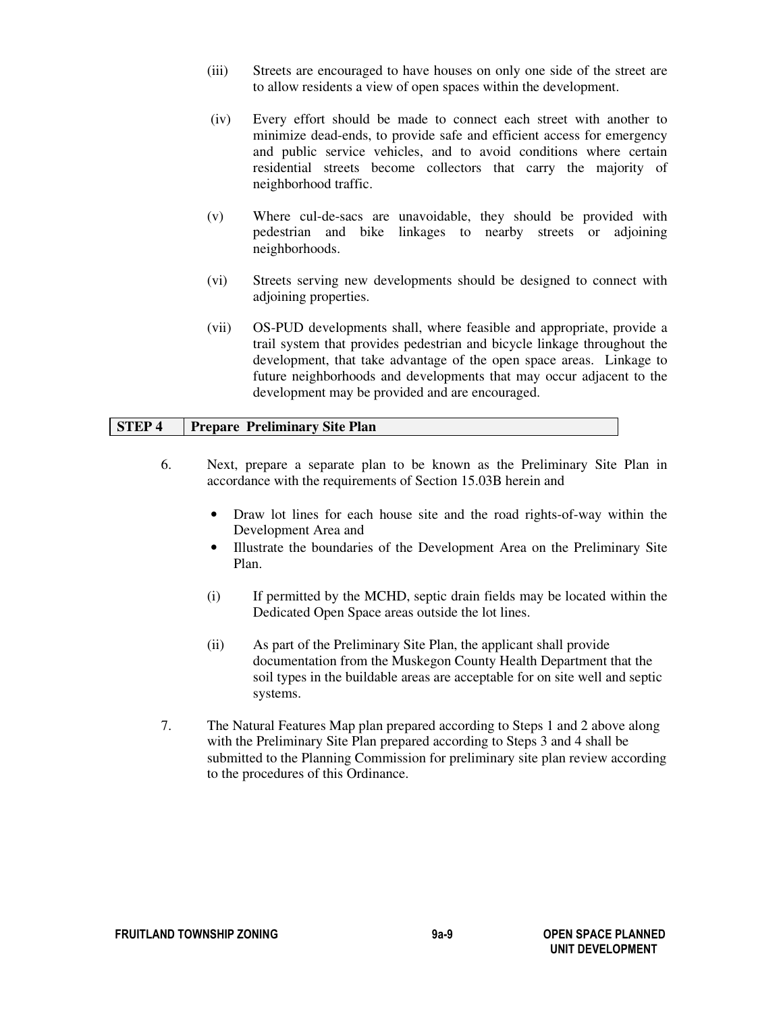- (iii) Streets are encouraged to have houses on only one side of the street are to allow residents a view of open spaces within the development.
- (iv) Every effort should be made to connect each street with another to minimize dead-ends, to provide safe and efficient access for emergency and public service vehicles, and to avoid conditions where certain residential streets become collectors that carry the majority of neighborhood traffic.
- (v) Where cul-de-sacs are unavoidable, they should be provided with pedestrian and bike linkages to nearby streets or adjoining neighborhoods.
- (vi) Streets serving new developments should be designed to connect with adjoining properties.
- (vii) OS-PUD developments shall, where feasible and appropriate, provide a trail system that provides pedestrian and bicycle linkage throughout the development, that take advantage of the open space areas. Linkage to future neighborhoods and developments that may occur adjacent to the development may be provided and are encouraged.

#### **STEP 4 Prepare Preliminary Site Plan**

- 6. Next, prepare a separate plan to be known as the Preliminary Site Plan in accordance with the requirements of Section 15.03B herein and
	- Draw lot lines for each house site and the road rights-of-way within the Development Area and
	- Illustrate the boundaries of the Development Area on the Preliminary Site Plan.
	- (i) If permitted by the MCHD, septic drain fields may be located within the Dedicated Open Space areas outside the lot lines.
	- (ii) As part of the Preliminary Site Plan, the applicant shall provide documentation from the Muskegon County Health Department that the soil types in the buildable areas are acceptable for on site well and septic systems.
- 7. The Natural Features Map plan prepared according to Steps 1 and 2 above along with the Preliminary Site Plan prepared according to Steps 3 and 4 shall be submitted to the Planning Commission for preliminary site plan review according to the procedures of this Ordinance.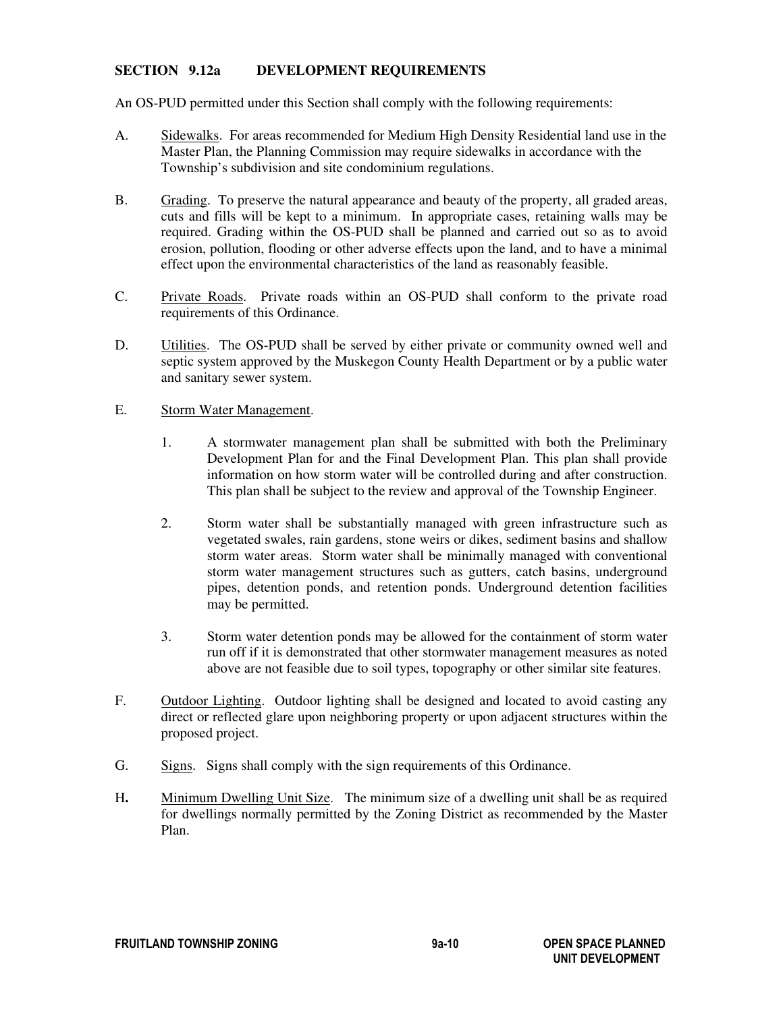## **SECTION 9.12a DEVELOPMENT REQUIREMENTS**

An OS-PUD permitted under this Section shall comply with the following requirements:

- A. Sidewalks. For areas recommended for Medium High Density Residential land use in the Master Plan, the Planning Commission may require sidewalks in accordance with the Township's subdivision and site condominium regulations.
- B. Grading. To preserve the natural appearance and beauty of the property, all graded areas, cuts and fills will be kept to a minimum. In appropriate cases, retaining walls may be required. Grading within the OS-PUD shall be planned and carried out so as to avoid erosion, pollution, flooding or other adverse effects upon the land, and to have a minimal effect upon the environmental characteristics of the land as reasonably feasible.
- C. Private Roads. Private roads within an OS-PUD shall conform to the private road requirements of this Ordinance.
- D. Utilities. The OS-PUD shall be served by either private or community owned well and septic system approved by the Muskegon County Health Department or by a public water and sanitary sewer system.

#### E. Storm Water Management.

- 1. A stormwater management plan shall be submitted with both the Preliminary Development Plan for and the Final Development Plan. This plan shall provide information on how storm water will be controlled during and after construction. This plan shall be subject to the review and approval of the Township Engineer.
- 2. Storm water shall be substantially managed with green infrastructure such as vegetated swales, rain gardens, stone weirs or dikes, sediment basins and shallow storm water areas. Storm water shall be minimally managed with conventional storm water management structures such as gutters, catch basins, underground pipes, detention ponds, and retention ponds. Underground detention facilities may be permitted.
- 3. Storm water detention ponds may be allowed for the containment of storm water run off if it is demonstrated that other stormwater management measures as noted above are not feasible due to soil types, topography or other similar site features.
- F. Outdoor Lighting. Outdoor lighting shall be designed and located to avoid casting any direct or reflected glare upon neighboring property or upon adjacent structures within the proposed project.
- G. Signs. Signs shall comply with the sign requirements of this Ordinance.
- H**.** Minimum Dwelling Unit Size. The minimum size of a dwelling unit shall be as required for dwellings normally permitted by the Zoning District as recommended by the Master Plan.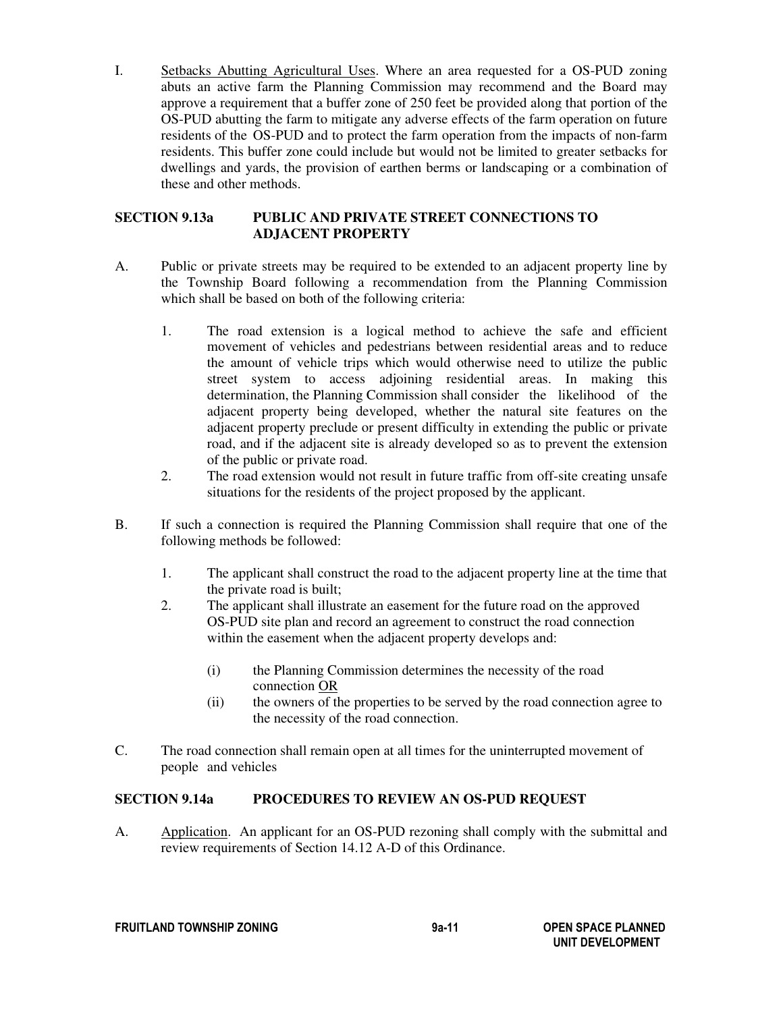I. Setbacks Abutting Agricultural Uses. Where an area requested for a OS-PUD zoning abuts an active farm the Planning Commission may recommend and the Board may approve a requirement that a buffer zone of 250 feet be provided along that portion of the OS-PUD abutting the farm to mitigate any adverse effects of the farm operation on future residents of the OS-PUD and to protect the farm operation from the impacts of non-farm residents. This buffer zone could include but would not be limited to greater setbacks for dwellings and yards, the provision of earthen berms or landscaping or a combination of these and other methods.

### **SECTION 9.13a PUBLIC AND PRIVATE STREET CONNECTIONS TO ADJACENT PROPERTY**

- A. Public or private streets may be required to be extended to an adjacent property line by the Township Board following a recommendation from the Planning Commission which shall be based on both of the following criteria:
	- 1. The road extension is a logical method to achieve the safe and efficient movement of vehicles and pedestrians between residential areas and to reduce the amount of vehicle trips which would otherwise need to utilize the public street system to access adjoining residential areas. In making this determination, the Planning Commission shall consider the likelihood of the adjacent property being developed, whether the natural site features on the adjacent property preclude or present difficulty in extending the public or private road, and if the adjacent site is already developed so as to prevent the extension of the public or private road.
	- 2. The road extension would not result in future traffic from off-site creating unsafe situations for the residents of the project proposed by the applicant.
- B. If such a connection is required the Planning Commission shall require that one of the following methods be followed:
	- 1. The applicant shall construct the road to the adjacent property line at the time that the private road is built;<br>2. The applicant shall illust
	- The applicant shall illustrate an easement for the future road on the approved OS-PUD site plan and record an agreement to construct the road connection within the easement when the adjacent property develops and:
		- (i) the Planning Commission determines the necessity of the road connection OR
		- (ii) the owners of the properties to be served by the road connection agree to the necessity of the road connection.
- C. The road connection shall remain open at all times for the uninterrupted movement of people and vehicles

## **SECTION 9.14a PROCEDURES TO REVIEW AN OS-PUD REQUEST**

A. Application. An applicant for an OS-PUD rezoning shall comply with the submittal and review requirements of Section 14.12 A-D of this Ordinance.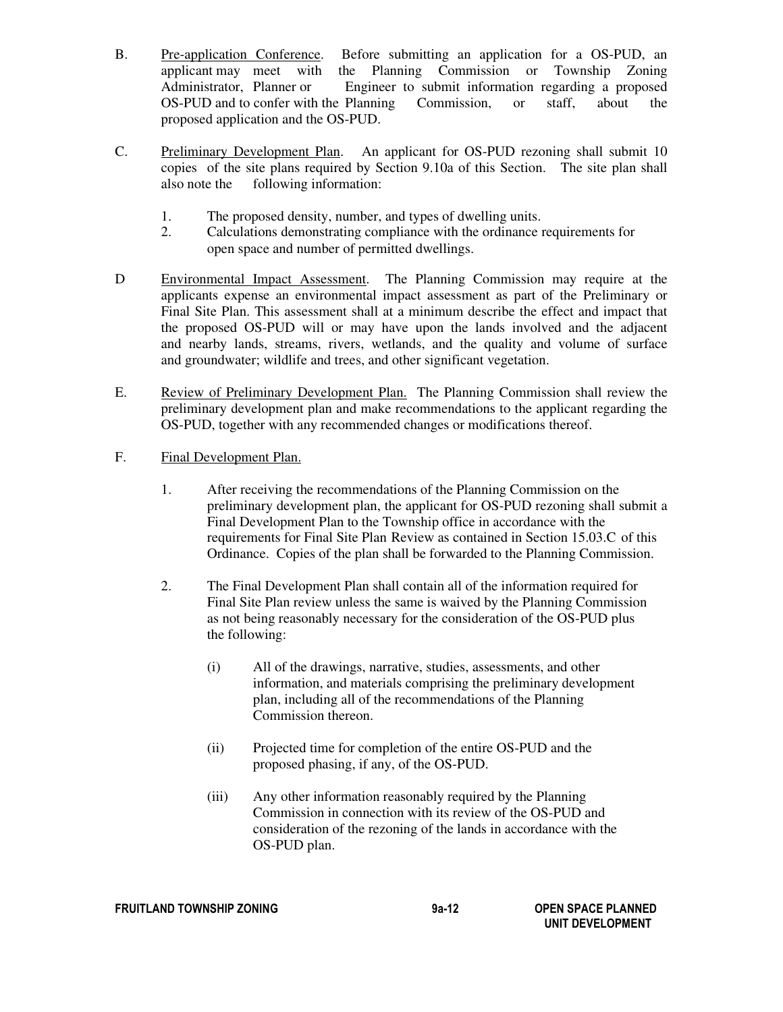- B. Pre-application Conference. Before submitting an application for a OS-PUD, an applicant may meet with the Planning Commission or Township Zoning the Planning Commission or Township Zoning Administrator, Planner or Engineer to submit information regarding a proposed OS-PUD and to confer with the Planning Commission, or staff, about the proposed application and the OS-PUD.
- C. Preliminary Development Plan. An applicant for OS-PUD rezoning shall submit 10 copies of the site plans required by Section 9.10a of this Section. The site plan shall also note the following information:
	- 1. The proposed density, number, and types of dwelling units.
	- 2. Calculations demonstrating compliance with the ordinance requirements for open space and number of permitted dwellings.
- D Environmental Impact Assessment. The Planning Commission may require at the applicants expense an environmental impact assessment as part of the Preliminary or Final Site Plan. This assessment shall at a minimum describe the effect and impact that the proposed OS-PUD will or may have upon the lands involved and the adjacent and nearby lands, streams, rivers, wetlands, and the quality and volume of surface and groundwater; wildlife and trees, and other significant vegetation.
- E. Review of Preliminary Development Plan. The Planning Commission shall review the preliminary development plan and make recommendations to the applicant regarding the OS-PUD, together with any recommended changes or modifications thereof.
- F. Final Development Plan.
	- 1. After receiving the recommendations of the Planning Commission on the preliminary development plan, the applicant for OS-PUD rezoning shall submit a Final Development Plan to the Township office in accordance with the requirements for Final Site Plan Review as contained in Section 15.03.C of this Ordinance. Copies of the plan shall be forwarded to the Planning Commission.
	- 2. The Final Development Plan shall contain all of the information required for Final Site Plan review unless the same is waived by the Planning Commission as not being reasonably necessary for the consideration of the OS-PUD plus the following:
		- (i) All of the drawings, narrative, studies, assessments, and other information, and materials comprising the preliminary development plan, including all of the recommendations of the Planning Commission thereon.
		- (ii) Projected time for completion of the entire OS-PUD and the proposed phasing, if any, of the OS-PUD.
		- (iii) Any other information reasonably required by the Planning Commission in connection with its review of the OS-PUD and consideration of the rezoning of the lands in accordance with the OS-PUD plan.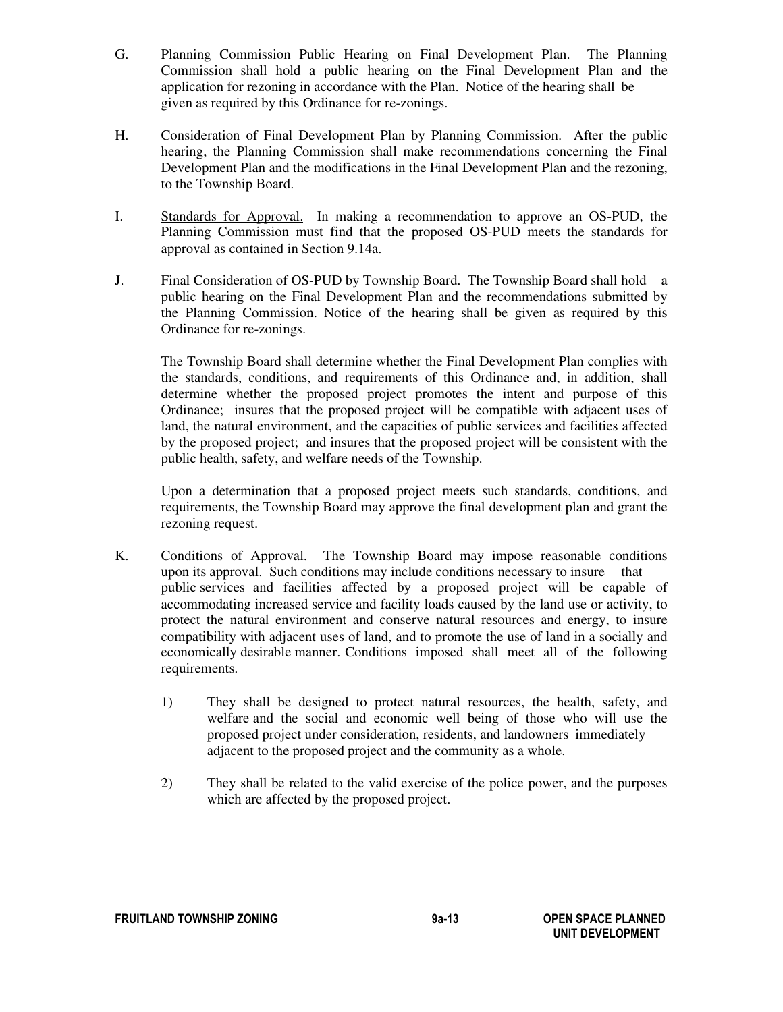- G. Planning Commission Public Hearing on Final Development Plan. The Planning Commission shall hold a public hearing on the Final Development Plan and the application for rezoning in accordance with the Plan. Notice of the hearing shall be given as required by this Ordinance for re-zonings.
- H. Consideration of Final Development Plan by Planning Commission. After the public hearing, the Planning Commission shall make recommendations concerning the Final Development Plan and the modifications in the Final Development Plan and the rezoning, to the Township Board.
- I. Standards for Approval. In making a recommendation to approve an OS-PUD, the Planning Commission must find that the proposed OS-PUD meets the standards for approval as contained in Section 9.14a.
- J. Final Consideration of OS-PUD by Township Board. The Township Board shall hold a public hearing on the Final Development Plan and the recommendations submitted by the Planning Commission. Notice of the hearing shall be given as required by this Ordinance for re-zonings.

 The Township Board shall determine whether the Final Development Plan complies with the standards, conditions, and requirements of this Ordinance and, in addition, shall determine whether the proposed project promotes the intent and purpose of this Ordinance; insures that the proposed project will be compatible with adjacent uses of land, the natural environment, and the capacities of public services and facilities affected by the proposed project; and insures that the proposed project will be consistent with the public health, safety, and welfare needs of the Township.

 Upon a determination that a proposed project meets such standards, conditions, and requirements, the Township Board may approve the final development plan and grant the rezoning request.

- K. Conditions of Approval. The Township Board may impose reasonable conditions upon its approval. Such conditions may include conditions necessary to insure that public services and facilities affected by a proposed project will be capable of accommodating increased service and facility loads caused by the land use or activity, to protect the natural environment and conserve natural resources and energy, to insure compatibility with adjacent uses of land, and to promote the use of land in a socially and economically desirable manner. Conditions imposed shall meet all of the following requirements.
	- 1) They shall be designed to protect natural resources, the health, safety, and welfare and the social and economic well being of those who will use the proposed project under consideration, residents, and landowners immediately adjacent to the proposed project and the community as a whole.
	- 2) They shall be related to the valid exercise of the police power, and the purposes which are affected by the proposed project.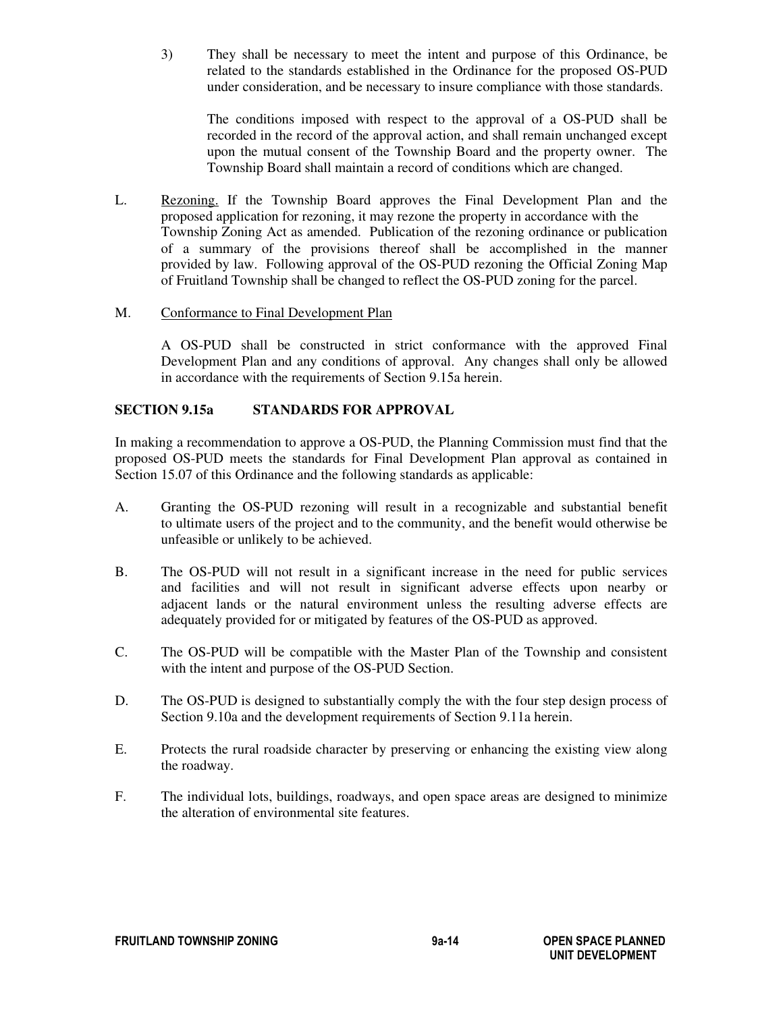3) They shall be necessary to meet the intent and purpose of this Ordinance, be related to the standards established in the Ordinance for the proposed OS-PUD under consideration, and be necessary to insure compliance with those standards.

 The conditions imposed with respect to the approval of a OS-PUD shall be recorded in the record of the approval action, and shall remain unchanged except upon the mutual consent of the Township Board and the property owner. The Township Board shall maintain a record of conditions which are changed.

L. Rezoning. If the Township Board approves the Final Development Plan and the proposed application for rezoning, it may rezone the property in accordance withthe Township Zoning Act as amended. Publication of the rezoning ordinance or publication of a summary of the provisions thereof shall be accomplished in the manner provided by law. Following approval of the OS-PUD rezoning the Official Zoning Map of Fruitland Township shall be changed to reflect the OS-PUD zoning for the parcel.

## M. Conformance to Final Development Plan

 A OS-PUD shall be constructed in strict conformance with the approved Final Development Plan and any conditions of approval. Any changes shall only be allowed in accordance with the requirements of Section 9.15a herein.

## **SECTION 9.15a STANDARDS FOR APPROVAL**

In making a recommendation to approve a OS-PUD, the Planning Commission must find that the proposed OS-PUD meets the standards for Final Development Plan approval as contained in Section 15.07 of this Ordinance and the following standards as applicable:

- A. Granting the OS-PUD rezoning will result in a recognizable and substantial benefit to ultimate users of the project and to the community, and the benefit would otherwise be unfeasible or unlikely to be achieved.
- B. The OS-PUD will not result in a significant increase in the need for public services and facilities and will not result in significant adverse effects upon nearby or adjacent lands or the natural environment unless the resulting adverse effects are adequately provided for or mitigated by features of the OS-PUD as approved.
- C. The OS-PUD will be compatible with the Master Plan of the Township and consistent with the intent and purpose of the OS-PUD Section.
- D. The OS-PUD is designed to substantially comply the with the four step design process of Section 9.10a and the development requirements of Section 9.11a herein.
- E. Protects the rural roadside character by preserving or enhancing the existing view along the roadway.
- F. The individual lots, buildings, roadways, and open space areas are designed to minimize the alteration of environmental site features.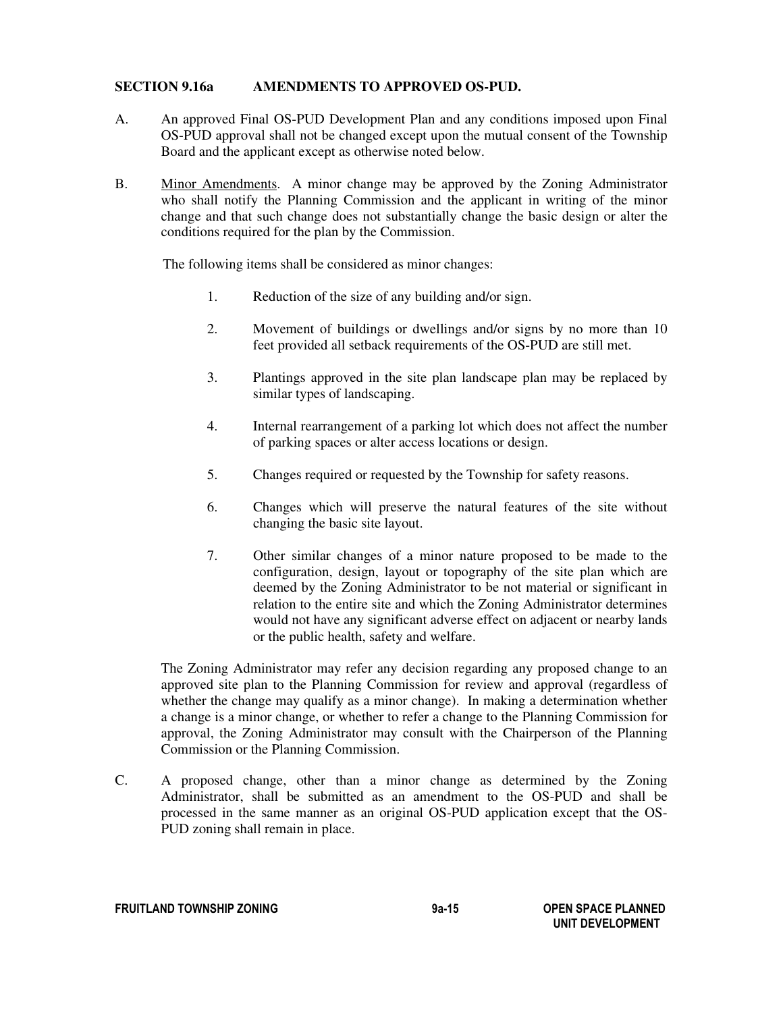#### **SECTION 9.16a AMENDMENTS TO APPROVED OS-PUD.**

- A. An approved Final OS-PUD Development Plan and any conditions imposed upon Final OS-PUD approval shall not be changed except upon the mutual consent of the Township Board and the applicant except as otherwise noted below.
- B. Minor Amendments. A minor change may be approved by the Zoning Administrator who shall notify the Planning Commission and the applicant in writing of the minor change and that such change does not substantially change the basic design or alter the conditions required for the plan by the Commission.

The following items shall be considered as minor changes:

- 1. Reduction of the size of any building and/or sign.
- 2. Movement of buildings or dwellings and/or signs by no more than 10 feet provided all setback requirements of the OS-PUD are still met.
- 3. Plantings approved in the site plan landscape plan may be replaced by similar types of landscaping.
- 4. Internal rearrangement of a parking lot which does not affect the number of parking spaces or alter access locations or design.
- 5. Changes required or requested by the Township for safety reasons.
- 6. Changes which will preserve the natural features of the site without changing the basic site layout.
- 7. Other similar changes of a minor nature proposed to be made to the configuration, design, layout or topography of the site plan which are deemed by the Zoning Administrator to be not material or significant in relation to the entire site and which the Zoning Administrator determines would not have any significant adverse effect on adjacent or nearby lands or the public health, safety and welfare.

The Zoning Administrator may refer any decision regarding any proposed change to an approved site plan to the Planning Commission for review and approval (regardless of whether the change may qualify as a minor change). In making a determination whether a change is a minor change, or whether to refer a change to the Planning Commission for approval, the Zoning Administrator may consult with the Chairperson of the Planning Commission or the Planning Commission.

C. A proposed change, other than a minor change as determined by the Zoning Administrator, shall be submitted as an amendment to the OS-PUD and shall be processed in the same manner as an original OS-PUD application except that the OS-PUD zoning shall remain in place.